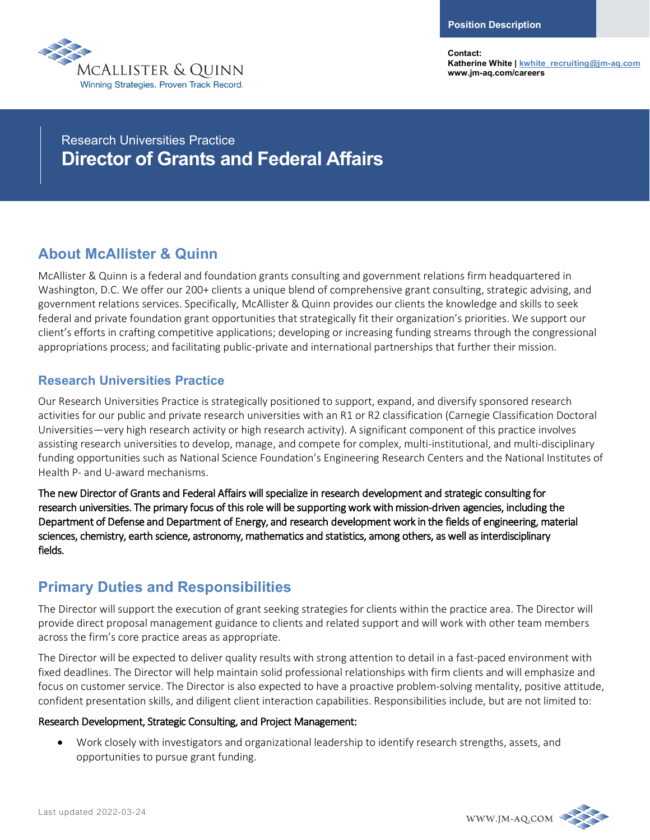

**Contact: Katherine White [| kwhite\\_recruiting@jm-aq.com](mailto:kwhite_recruiting@jm-aq.com) www.jm-aq.com/careers**

Research Universities Practice **Director of Grants and Federal Affairs**

# **About McAllister & Quinn**

McAllister & Quinn is a federal and foundation grants consulting and government relations firm headquartered in Washington, D.C. We offer our 200+ clients a unique blend of comprehensive grant consulting, strategic advising, and government relations services. Specifically, McAllister & Quinn provides our clients the knowledge and skills to seek federal and private foundation grant opportunities that strategically fit their organization's priorities. We support our client's efforts in crafting competitive applications; developing or increasing funding streams through the congressional appropriations process; and facilitating public-private and international partnerships that further their mission.

## **Research Universities Practice**

Our Research Universities Practice is strategically positioned to support, expand, and diversify sponsored research activities for our public and private research universities with an R1 or R2 classification (Carnegie Classification Doctoral Universities—very high research activity or high research activity). A significant component of this practice involves assisting research universities to develop, manage, and compete for complex, multi-institutional, and multi-disciplinary funding opportunities such as National Science Foundation's Engineering Research Centers and the National Institutes of Health P- and U-award mechanisms.

The new Director of Grants and Federal Affairs will specialize in research development and strategic consulting for research universities. The primary focus of this role will be supporting work with mission-driven agencies, including the Department of Defense and Department of Energy, and research development work in the fields of engineering, material sciences, chemistry, earth science, astronomy, mathematics and statistics, among others, as well as interdisciplinary fields.

# **Primary Duties and Responsibilities**

The Director will support the execution of grant seeking strategies for clients within the practice area. The Director will provide direct proposal management guidance to clients and related support and will work with other team members across the firm's core practice areas as appropriate.

The Director will be expected to deliver quality results with strong attention to detail in a fast-paced environment with fixed deadlines. The Director will help maintain solid professional relationships with firm clients and will emphasize and focus on customer service. The Director is also expected to have a proactive problem-solving mentality, positive attitude, confident presentation skills, and diligent client interaction capabilities. Responsibilities include, but are not limited to:

#### Research Development, Strategic Consulting, and Project Management:

• Work closely with investigators and organizational leadership to identify research strengths, assets, and opportunities to pursue grant funding.